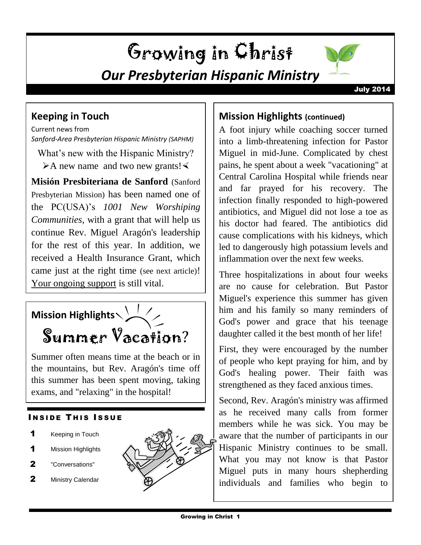## Growing in Christ *Our Presbyterian Hispanic Ministry*



## **Keeping in Touch**

Current news from *Sanford-Area Presbyterian Hispanic Ministry (SAPHM)*

What's new with the Hispanic Ministry?  $\triangleright$  A new name and two new grants!

**Misión Presbiteriana de Sanford** (Sanford Presbyterian Mission) has been named one of the PC(USA)'s *1001 New Worshiping Communities*, with a grant that will help us continue Rev. Miguel Aragón's leadership for the rest of this year. In addition, we received a Health Insurance Grant, which came just at the right time (see next article)! Your ongoing support is still vital.

# **Mission Highlights** Summer Vacation?

Summer often means time at the beach or in the mountains, but Rev. Aragón's time off this summer has been spent moving, taking exams, and "relaxing" in the hospital!

## **INSIDE THIS ISSUE**

- 1 Keeping in Touch
- 1 Mission Highlights
- 2 "Conversations"
- 2 Ministry Calendar



## **Mission Highlights (continued)**

A foot injury while coaching soccer turned into a limb-threatening infection for Pastor Miguel in mid-June. Complicated by chest pains, he spent about a week "vacationing" at Central Carolina Hospital while friends near and far prayed for his recovery. The infection finally responded to high-powered antibiotics, and Miguel did not lose a toe as his doctor had feared. The antibiotics did cause complications with his kidneys, which led to dangerously high potassium levels and inflammation over the next few weeks.

Three hospitalizations in about four weeks are no cause for celebration. But Pastor Miguel's experience this summer has given him and his family so many reminders of God's power and grace that his teenage daughter called it the best month of her life!

First, they were encouraged by the number of people who kept praying for him, and by God's healing power. Their faith was strengthened as they faced anxious times.

Second, Rev. Aragón's ministry was affirmed as he received many calls from former members while he was sick. You may be aware that the number of participants in our Hispanic Ministry continues to be small. What you may not know is that Pastor Miguel puts in many hours shepherding individuals and families who begin to